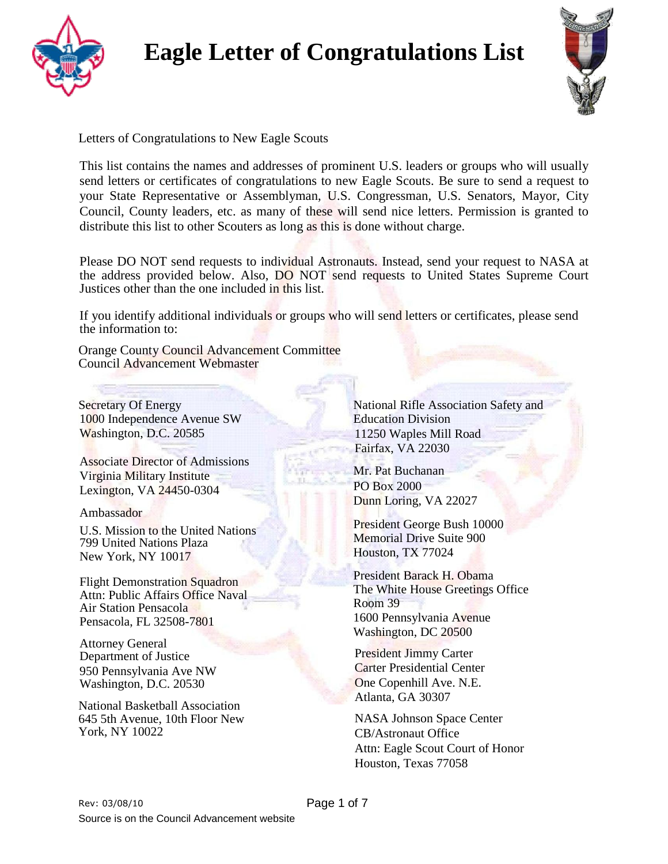



Letters of Congratulations to New Eagle Scouts

This list contains the names and addresses of prominent U.S. leaders or groups who will usually send letters or certificates of congratulations to new Eagle Scouts. Be sure to send a request to your State Representative or Assemblyman, U.S. Congressman, U.S. Senators, Mayor, City Council, County leaders, etc. as many of these will send nice letters. Permission is granted to distribute this list to other Scouters as long as this is done without charge.

Please DO NOT send requests to individual Astronauts. Instead, send your request to NASA at the address provided below. Also, DO NOT send requests to United States Supreme Court Justices other than the one included in this list.

If you identify additional individuals or groups who will send letters or certificates, please send the information to:

Orange County Council Advancement Committee Council Advancement Webmaster

Secretary Of Energy 1000 Independence Avenue SW Washington, D.C. 20585

Associate Director of Admissions Virginia Military Institute Lexington, VA 24450-0304

Ambassador

U.S. Mission to the United Nations 799 United Nations Plaza New York, NY 10017

Flight Demonstration Squadron Attn: Public Affairs Office Naval Air Station Pensacola Pensacola, FL 32508-7801

Attorney General Department of Justice 950 Pennsylvania Ave NW Washington, D.C. 20530

National Basketball Association 645 5th Avenue, 10th Floor New York, NY 10022

National Rifle Association Safety and Education Division 11250 Waples Mill Road Fairfax, VA 22030

Mr. Pat Buchanan PO Box 2000 Dunn Loring, VA 22027

President George Bush 10000 Memorial Drive Suite 900 Houston, TX 77024

President Barack H. Obama The White House Greetings Office Room 39 1600 Pennsylvania Avenue Washington, DC 20500

President Jimmy Carter Carter Presidential Center One Copenhill Ave. N.E. Atlanta, GA 30307

NASA Johnson Space Center CB/Astronaut Office Attn: Eagle Scout Court of Honor Houston, Texas 77058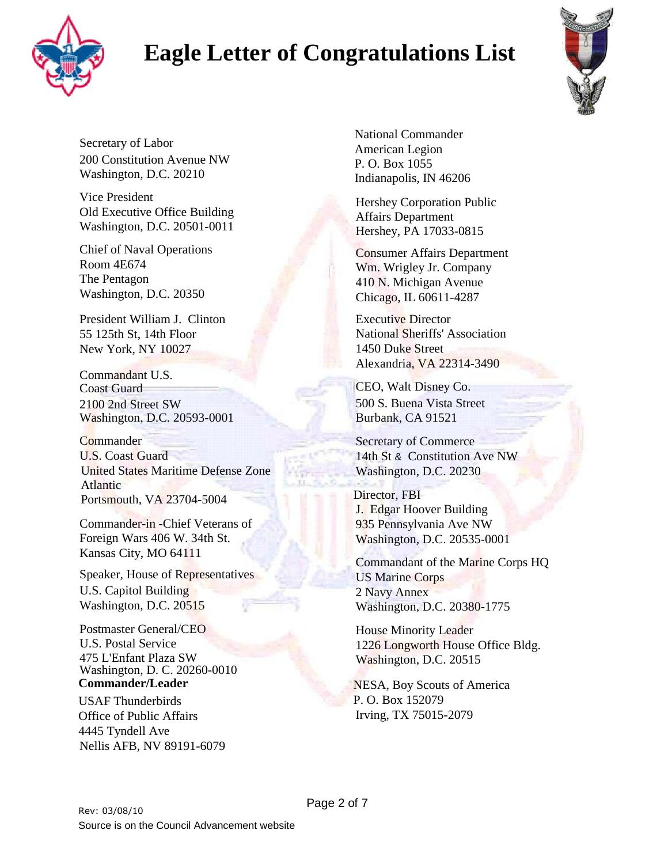



Secretary of Labor 200 Constitution Avenue NW Washington, D.C. 20210

Vice President Old Executive Office Building Washington, D.C. 20501-0011

Chief of Naval Operations Room 4E674 The Pentagon Washington, D.C. 20350

President William J. Clinton 55 125th St, 14th Floor New York, NY 10027

Commandant U.S. Coast Guard 2100 2nd Street SW Washington, D.C. 20593-0001

**Commander** U.S. Coast Guard United States Maritime Defense Zone Atlantic Portsmouth, VA 23704-5004

Commander-in -Chief Veterans of Foreign Wars 406 W. 34th St. Kansas City, MO 64111

Speaker, House of Representatives U.S. Capitol Building Washington, D.C. 20515

Postmaster General/CEO U.S. Postal Service 475 L'Enfant Plaza SW Washington, D. C. 20260-0010 **Commander/Leader**

USAF Thunderbirds Office of Public Affairs 4445 Tyndell Ave Nellis AFB, NV 89191-6079 National Commander American Legion P. O. Box 1055 Indianapolis, IN 46206

Hershey Corporation Public Affairs Department Hershey, PA 17033-0815

Consumer Affairs Department Wm. Wrigley Jr. Company 410 N. Michigan Avenue Chicago, IL 60611-4287

Executive Director National Sheriffs' Association 1450 Duke Street Alexandria, VA 22314-3490

CEO, Walt Disney Co. 500 S. Buena Vista Street Burbank, CA 91521

Secretary of Commerce 14th St & Constitution Ave NW Washington, D.C. 20230

Director, FBI J. Edgar Hoover Building 935 Pennsylvania Ave NW Washington, D.C. 20535-0001

Commandant of the Marine Corps HQ US Marine Corps 2 Navy Annex Washington, D.C. 20380-1775

House Minority Leader 1226 Longworth House Office Bldg. Washington, D.C. 20515

NESA, Boy Scouts of America P. O. Box 152079 Irving, TX 75015-2079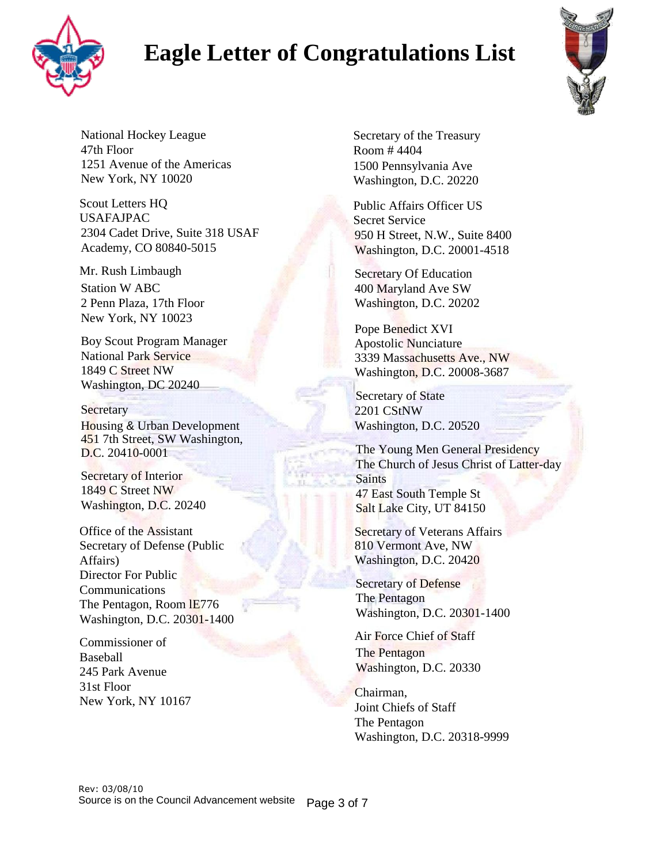



National Hockey League 47th Floor 1251 Avenue of the Americas New York, NY 10020

Scout Letters HQ USAFAJPAC 2304 Cadet Drive, Suite 318 USAF Academy, CO 80840-5015

Mr. Rush Limbaugh Station W ABC 2 Penn Plaza, 17th Floor New York, NY 10023

Boy Scout Program Manager National Park Service 1849 C Street NW Washington, DC 20240

#### **Secretary**

Housing & Urban Development 451 7th Street, SW Washington, D.C. 20410-0001

Secretary of Interior 1849 C Street NW Washington, D.C. 20240

Office of the Assistant Secretary of Defense (Public Affairs) Director For Public Communications The Pentagon, Room lE776 Washington, D.C. 20301-1400

Commissioner of Baseball 245 Park Avenue 31st Floor New York, NY 10167 Secretary of the Treasury Room # 4404 1500 Pennsylvania Ave Washington, D.C. 20220

Public Affairs Officer US Secret Service 950 H Street, N.W., Suite 8400 Washington, D.C. 20001-4518

Secretary Of Education 400 Maryland Ave SW Washington, D.C. 20202

Pope Benedict XVI Apostolic Nunciature 3339 Massachusetts Ave., NW Washington, D.C. 20008-3687

Secretary of State 2201 CStNW Washington, D.C. 20520

The Young Men General Presidency The Church of Jesus Christ of Latter-day Saints 47 East South Temple St Salt Lake City, UT 84150

Secretary of Veterans Affairs 810 Vermont Ave, NW Washington, D.C. 20420

Secretary of Defense The Pentagon Washington, D.C. 20301-1400

Air Force Chief of Staff The Pentagon Washington, D.C. 20330

Chairman, Joint Chiefs of Staff The Pentagon Washington, D.C. 20318-9999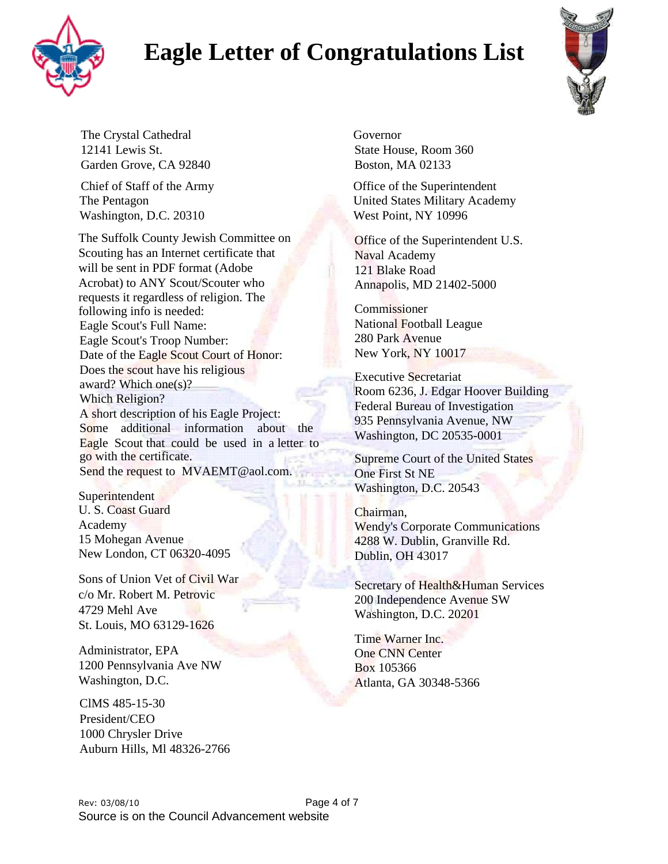



The Crystal Cathedral Governor 12141 Lewis St. State House, Room 360 Garden Grove, CA 92840 Boston, MA 02133

Washington, D.C. 20310 West Point, NY 10996

The Suffolk County Jewish Committee on Office of the Superintendent U.S. Scouting has an Internet certificate that Naval Academy will be sent in PDF format (Adobe 121 Blake Road Acrobat) to ANY Scout/Scouter who Annapolis, MD 21402-5000 requests it regardless of religion. The following info is needed: Commissioner Eagle Scout's Full Name: National Football League Eagle Scout's Troop Number: 280 Park Avenue<br>
Date of the Eagle Scout Court of Honor: New York, NY 10017 Date of the Eagle Scout Court of Honor: Noon 6236, J. Edgar Hoover Building<br>
Which Religion?<br>
Mich Religion?<br>
A short description of his Eagle Project:<br>
Some additional information about the Eagle Scout that could be used in a letter to<br>
Eagle Scout that could b go with the certificate. Supreme Court of the United States Send the request to [MVAEMT@aol.com.](mailto:AEMT@aol.com.) One First St NE

U. S. Coast Guard Chairman, New London, CT 06320-4095 Dublin, OH 43017

Sons of Union Vet of Civil War<br>
c/o Mr. Robert M. Petrovic<br>
200 Independence Avenue SW c/o Mr. Robert M. Petrovic 200 Independence Avenue SW<br>4729 Mehl Ave Westington D.C. 20001 St. Louis, MO 63129-1626

Administrator, EPA One CNN Center 1200 Pennsylvania Ave NW Box 105366 Washington, D.C. **Atlanta**, GA 30348-5366

ClMS 485-15-30 President/CEO 1000 Chrysler Drive Auburn Hills, Ml 48326-2766

Chief of Staff of the Army Office of the Superintendent The Pentagon United States Military Academy

Superintendent Washington, D.C. 20543

Academy Wendy's Corporate Communications<br>15 Mohegan Avenue 4288 W. Dublin. Granville Rd. 4288 W. Dublin, Granville Rd.

Washington, D.C. 20201

Time Warner Inc.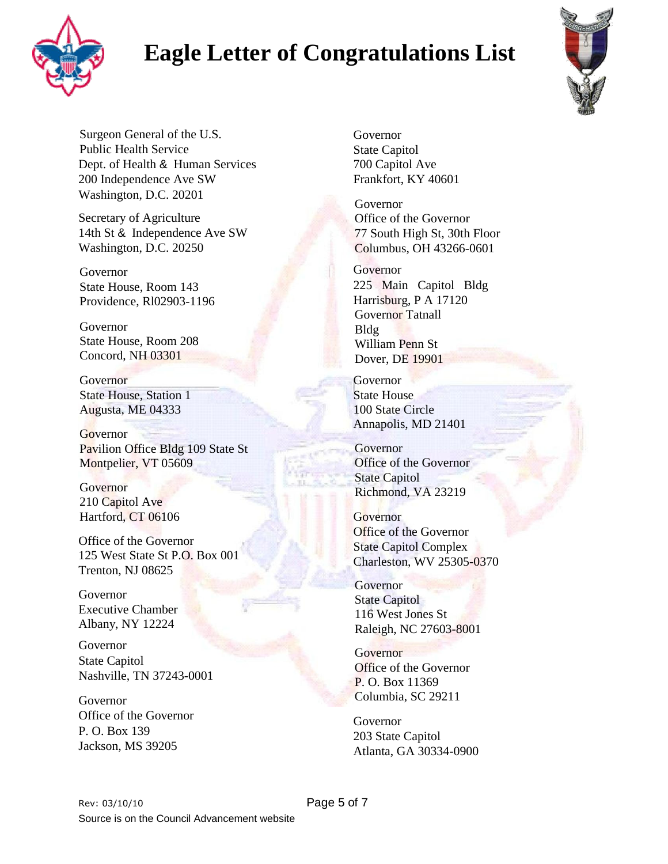



Surgeon General of the U.S. Public Health Service Dept. of Health & Human Services 200 Independence Ave SW Washington, D.C. 20201

Secretary of Agriculture 14th St & Independence Ave SW Washington, D.C. 20250

Governor State House, Room 143 Providence, Rl02903-1196

Governor State House, Room 208 Concord, NH 03301

Governor State House, Station 1 Augusta, ME 04333

**Governor** Pavilion Office Bldg 109 State St Montpelier, VT 05609

**Governor** 210 Capitol Ave Hartford, CT 06106

Office of the Governor 125 West State St P.O. Box 001 Trenton, NJ 08625

Governor Executive Chamber Albany, NY 12224

Governor State Capitol Nashville, TN 37243-0001

Governor Office of the Governor P. O. Box 139 Jackson, MS 39205

Governor State Capitol 700 Capitol Ave Frankfort, KY 40601

Governor Office of the Governor 77 South High St, 30th Floor Columbus, OH 43266-0601

Governor 225 Main Capitol Bldg Harrisburg, P A 17120 Governor Tatnall Bldg William Penn St Dover, DE 19901

Governor State House 100 State Circle Annapolis, MD 21401

Governor Office of the Governor State Capitol Richmond, VA 23219

**Governor** Office of the Governor State Capitol Complex Charleston, WV 25305-0370

Governor State Capitol 116 West Jones St Raleigh, NC 27603-8001

**Governor** Office of the Governor P. O. Box 11369 Columbia, SC 29211

Governor 203 State Capitol Atlanta, GA 30334-0900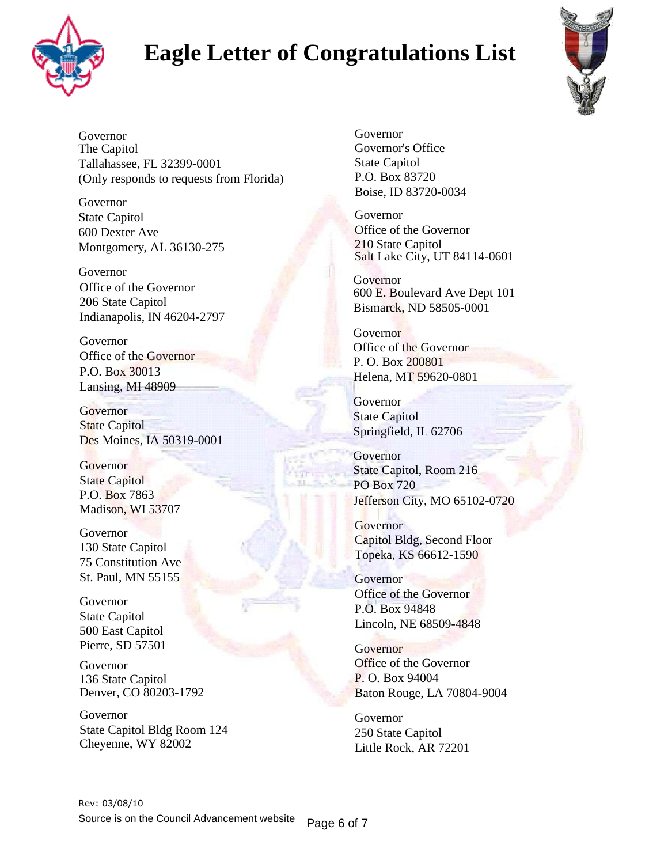



Governor The Capitol Tallahassee, FL 32399-0001 (Only responds to requests from Florida)

Governor State Capitol 600 Dexter Ave Montgomery, AL 36130-275

Governor Office of the Governor 206 State Capitol Indianapolis, IN 46204-2797

Governor Office of the Governor P.O. Box 30013 Lansing, MI 48909

**Governor State Capitol** Des Moines, IA 50319-0001

**Governor** State Capitol P.O. Box 7863 Madison, WI 53707

Governor 130 State Capitol 75 Constitution Ave St. Paul, MN 55155

Governor State Capitol 500 East Capitol Pierre, SD 57501

Governor 136 State Capitol Denver, CO 80203-1792

Governor State Capitol Bldg Room 124 Cheyenne, WY 82002

Governor Governor's Office State Capitol P.O. Box 83720 Boise, ID 83720-0034

Governor Office of the Governor 210 State Capitol Salt Lake City, UT 84114-0601

Governor 600 E. Boulevard Ave Dept 101 Bismarck, ND 58505-0001

**Governor** Office of the Governor P. O. Box 200801 Helena, MT 59620-0801

**Governor** State Capitol Springfield, IL 62706

**Governor** State Capitol, Room 216 PO Box 720 Jefferson City, MO 65102-0720

**Governor** Capitol Bldg, Second Floor Topeka, KS 66612-1590

**Governor** Office of the Governor P.O. Box 94848 Lincoln, NE 68509-4848

**Governor** Office of the Governor P. O. Box 94004 Baton Rouge, LA 70804-9004

Governor 250 State Capitol Little Rock, AR 72201